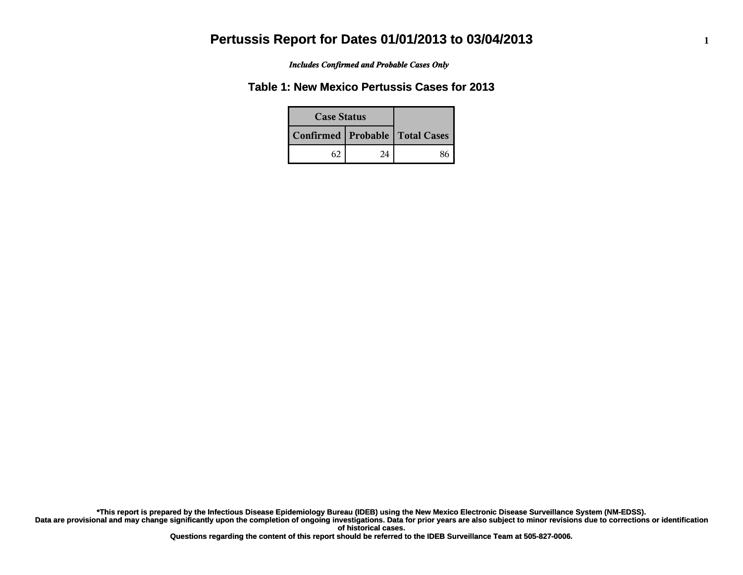*Includes Confirmed and Probable Cases Only*

### **Table 1: New Mexico Pertussis Cases for 2013**

| <b>Case Status</b> |    |                                    |
|--------------------|----|------------------------------------|
|                    |    | Confirmed   Probable   Total Cases |
|                    | 24 |                                    |

**Data are provisional and may change significantly upon the completion of ongoing investigations. Data for prior years are also subject to minor revisions due to corrections or identification of historical cases. \*This report is prepared by the Infectious Disease Epidemiology Bureau (IDEB) using the New Mexico Electronic Disease Surveillance System (NM-EDSS).**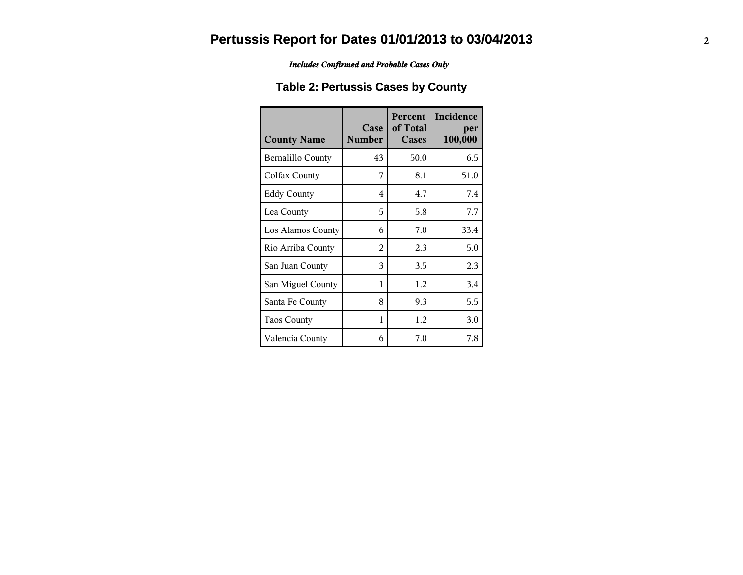*Includes Confirmed and Probable Cases Only*

### **Table 2: Pertussis Cases by County**

| <b>County Name</b>       | Case<br><b>Number</b> | Percent<br>of Total<br>Cases | Incidence<br>per<br>100,000 |
|--------------------------|-----------------------|------------------------------|-----------------------------|
| <b>Bernalillo County</b> | 43                    | 50.0                         | 6.5                         |
| Colfax County            | 7                     | 8.1                          | 51.0                        |
| <b>Eddy County</b>       | 4                     | 4.7                          | 7.4                         |
| Lea County               | 5                     | 5.8                          | 7.7                         |
| Los Alamos County        | 6                     | 7.0                          | 33.4                        |
| Rio Arriba County        | $\mathfrak{D}$        | 2.3                          | 5.0                         |
| San Juan County          | 3                     | 3.5                          | 2.3                         |
| San Miguel County        | 1                     | 1.2                          | 3.4                         |
| Santa Fe County          | 8                     | 9.3                          | 5.5                         |
| <b>Taos County</b>       | 1                     | 1.2                          | 3.0                         |
| Valencia County          | 6                     | 7.0                          | 7.8                         |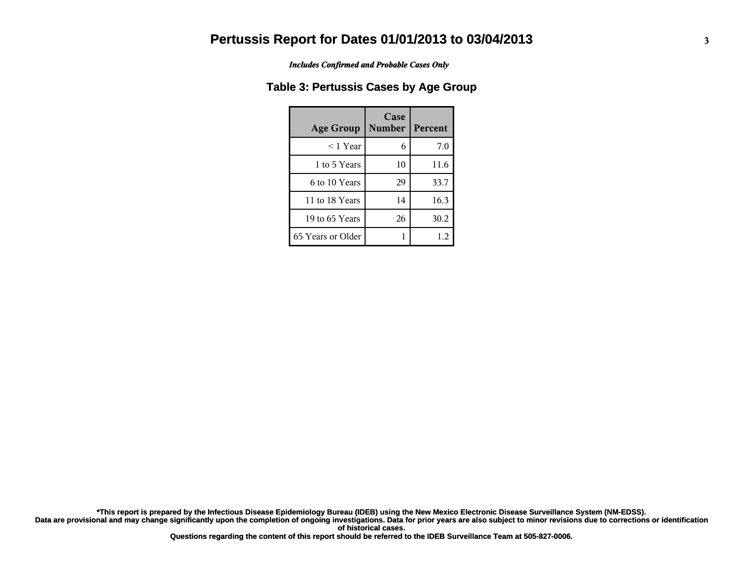*Includes Confirmed and Probable Cases Only*

#### **Table 3: Pertussis Cases by Age Group**

| <b>Age Group</b>  | Case<br><b>Number</b> | <b>Percent</b> |
|-------------------|-----------------------|----------------|
| $<$ 1 Year        | 6                     | 7.0            |
| 1 to 5 Years      | 10                    | 11.6           |
| 6 to 10 Years     | 29                    | 33.7           |
| 11 to 18 Years    | 14                    | 16.3           |
| 19 to 65 Years    | 26                    | 30.2           |
| 65 Years or Older |                       | 1.2            |

**Data are provisional and may change significantly upon the completion of ongoing investigations. Data for prior years are also subject to minor revisions due to corrections or identification of historical cases. \*This report is prepared by the Infectious Disease Epidemiology Bureau (IDEB) using the New Mexico Electronic Disease Surveillance System (NM-EDSS).**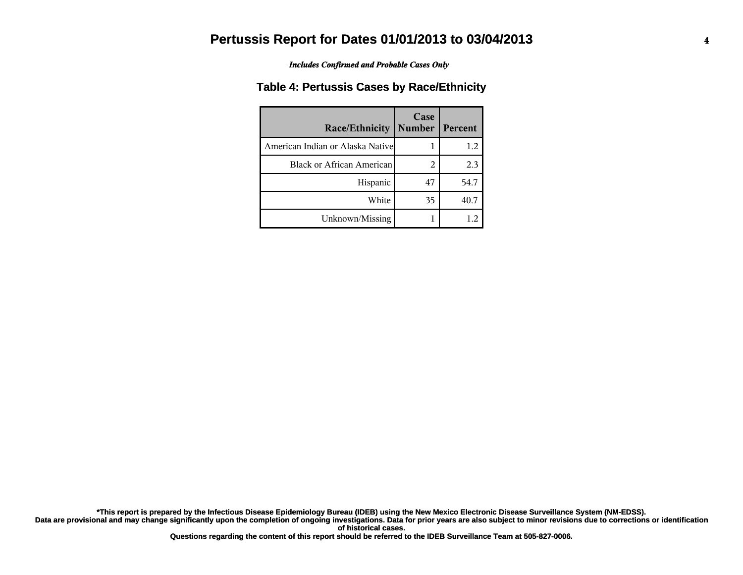*Includes Confirmed and Probable Cases Only*

#### **Table 4: Pertussis Cases by Race/Ethnicity**

| Race/Ethnicity                    | Case<br><b>Number</b> | Percent |
|-----------------------------------|-----------------------|---------|
| American Indian or Alaska Nativel |                       | 1.2     |
| <b>Black or African American</b>  | 2                     | 2.3     |
| Hispanic                          | 47                    | 54.7    |
| White                             | 35                    | 40.7    |
| Unknown/Missing                   |                       |         |

**Data are provisional and may change significantly upon the completion of ongoing investigations. Data for prior years are also subject to minor revisions due to corrections or identification of historical cases. \*This report is prepared by the Infectious Disease Epidemiology Bureau (IDEB) using the New Mexico Electronic Disease Surveillance System (NM-EDSS).**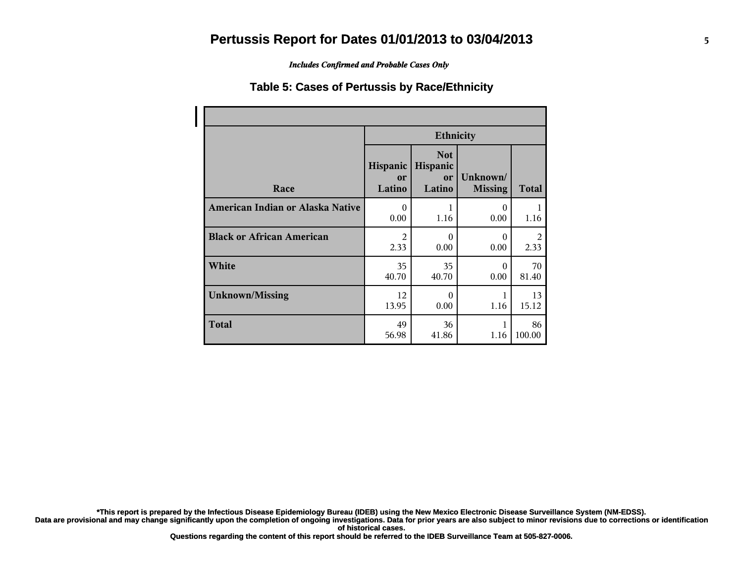*Includes Confirmed and Probable Cases Only*

#### **Table 5: Cases of Pertussis by Race/Ethnicity**

|                                  | <b>Ethnicity</b>         |                                        |                            |              |
|----------------------------------|--------------------------|----------------------------------------|----------------------------|--------------|
| Race                             | Hispanic<br>or<br>Latino | <b>Not</b><br>Hispanic<br>or<br>Latino | Unknown/<br><b>Missing</b> | <b>Total</b> |
| American Indian or Alaska Native | $\theta$                 | 1                                      | $\Omega$                   | 1            |
|                                  | 0.00                     | 1.16                                   | 0.00                       | 1.16         |
| <b>Black or African American</b> | 2                        | 0                                      | $\Omega$                   | 2            |
|                                  | 2.33                     | 0.00                                   | 0.00                       | 2.33         |
| White                            | 35                       | 35                                     | $\Omega$                   | 70           |
|                                  | 40.70                    | 40.70                                  | 0.00                       | 81.40        |
| <b>Unknown/Missing</b>           | 12                       | $\Omega$                               | 1                          | 13           |
|                                  | 13.95                    | 0.00                                   | 1.16                       | 15.12        |
| <b>Total</b>                     | 49<br>56.98              | 36<br>41.86                            | 1.16                       | 86<br>100.00 |

**\*This report is prepared by the Infectious Disease Epidemiology Bureau (IDEB) using the New Mexico Electronic Disease Surveillance System (NM-EDSS).**

**Data are provisional and may change significantly upon the completion of ongoing investigations. Data for prior years are also subject to minor revisions due to corrections or identification of historical cases.**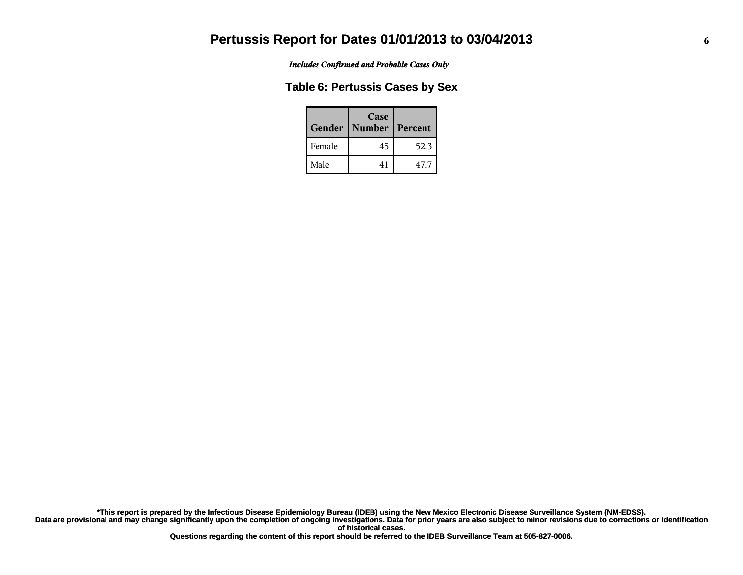*Includes Confirmed and Probable Cases Only*

#### **Table 6: Pertussis Cases by Sex**

| Gender | Case<br>  Number | Percent |
|--------|------------------|---------|
| Female | 45               | 52.3    |
| Male   | 41               | 47.7    |

**Data are provisional and may change significantly upon the completion of ongoing investigations. Data for prior years are also subject to minor revisions due to corrections or identification of historical cases. \*This report is prepared by the Infectious Disease Epidemiology Bureau (IDEB) using the New Mexico Electronic Disease Surveillance System (NM-EDSS).**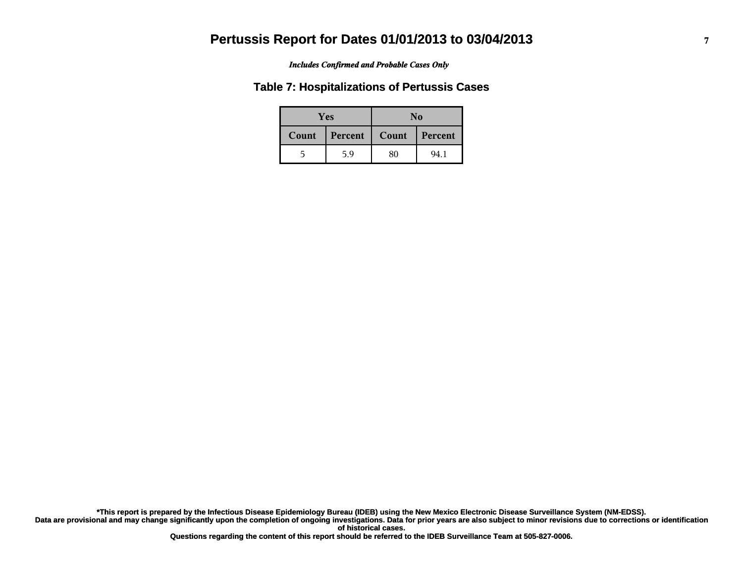#### *Includes Confirmed and Probable Cases Only*

#### **Table 7: Hospitalizations of Pertussis Cases**

| <b>Yes</b> |         | No    |         |  |
|------------|---------|-------|---------|--|
| Count      | Percent | Count | Percent |  |
| ካ          | 5.9     | 80    | 94.1    |  |

**Data are provisional and may change significantly upon the completion of ongoing investigations. Data for prior years are also subject to minor revisions due to corrections or identification of historical cases. \*This report is prepared by the Infectious Disease Epidemiology Bureau (IDEB) using the New Mexico Electronic Disease Surveillance System (NM-EDSS).**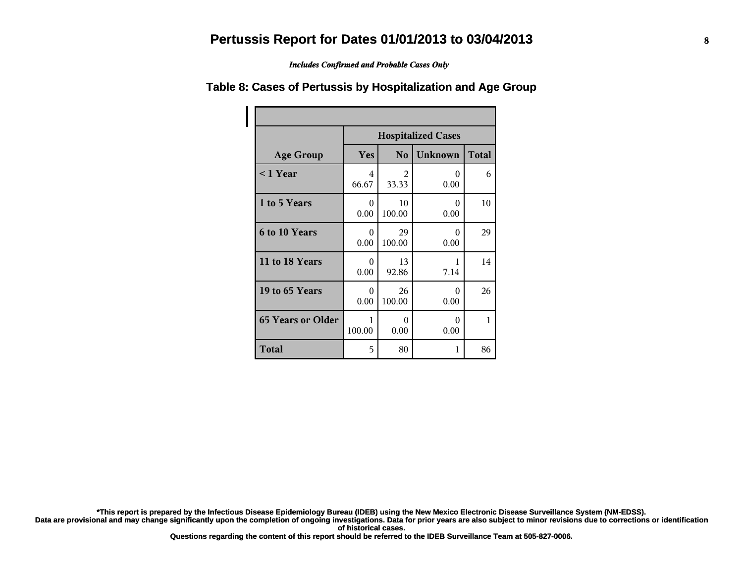*Includes Confirmed and Probable Cases Only*

|                          | <b>Hospitalized Cases</b>                                      |              |                  |    |  |  |
|--------------------------|----------------------------------------------------------------|--------------|------------------|----|--|--|
| <b>Age Group</b>         | <b>Unknown</b><br><b>Total</b><br><b>Yes</b><br>N <sub>0</sub> |              |                  |    |  |  |
| $<$ 1 Year               | 4<br>66.67                                                     | 2<br>33.33   | 0<br>0.00        | 6  |  |  |
| 1 to 5 Years             | $\Omega$<br>0.00                                               | 10<br>100.00 | $\Omega$<br>0.00 | 10 |  |  |
| 6 to 10 Years            | 0<br>0.00                                                      | 29<br>100.00 | $\Omega$<br>0.00 | 29 |  |  |
| 11 to 18 Years           | $\Omega$<br>0.00                                               | 13<br>92.86  | 1<br>7.14        | 14 |  |  |
| 19 to 65 Years           | $\Omega$<br>0.00                                               | 26<br>100.00 | 0<br>0.00        | 26 |  |  |
| <b>65 Years or Older</b> | 1<br>100.00                                                    | 0<br>0.00    | $\Omega$<br>0.00 | 1  |  |  |
| Total                    | 5                                                              | 80           | 1                | 86 |  |  |

#### **Table 8: Cases of Pertussis by Hospitalization and Age Group**

**\*This report is prepared by the Infectious Disease Epidemiology Bureau (IDEB) using the New Mexico Electronic Disease Surveillance System (NM-EDSS).**

**Data are provisional and may change significantly upon the completion of ongoing investigations. Data for prior years are also subject to minor revisions due to corrections or identification of historical cases.**